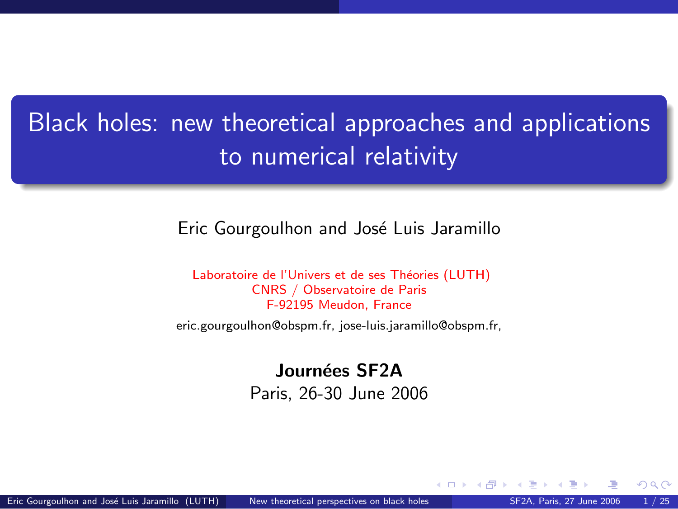# <span id="page-0-1"></span>Black holes: new theoretical approaches and applications to numerical relativity

### Eric Gourgoulhon and José Luis Jaramillo

Laboratoire de l'Univers et de ses Théories (LUTH) CNRS / Observatoire de Paris F-92195 Meudon, France

[eric.gourgoulhon@obspm.fr,](mailto:eric.gourgoulhon@obspm.fr) [jose-luis.jaramillo@obspm.fr,](mailto:jose-luis.jaramillo@obspm.fr)

Journées SF2A Paris, 26-30 June 2006

<span id="page-0-0"></span>4 0 8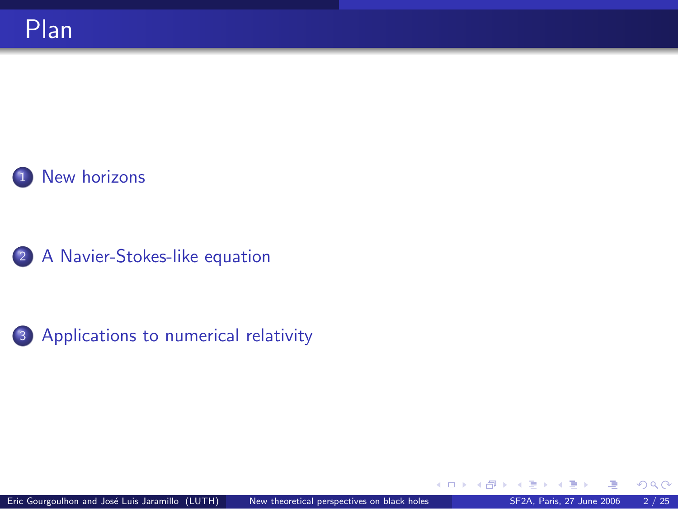

2 [A Navier-Stokes-like equation](#page-20-0)



<span id="page-1-0"></span> $298$ 

**K ロ ト K 伊 ト K** 

э ×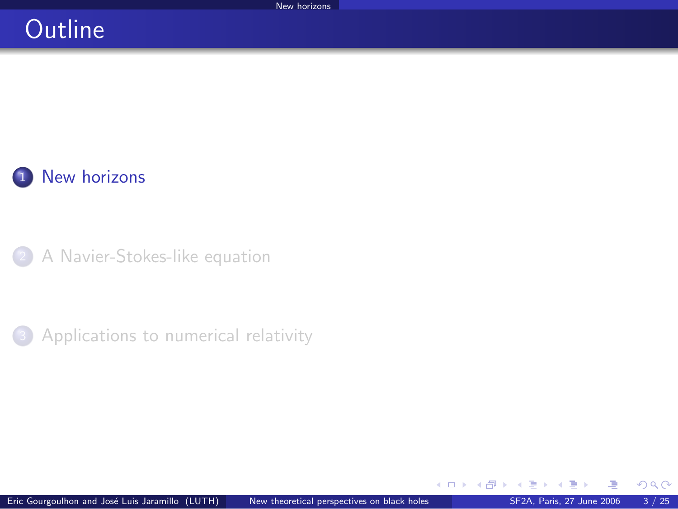### **Outline**



[A Navier-Stokes-like equation](#page-20-0)

**3** [Applications to numerical relativity](#page-32-0)

 $\sim$ 

**K ロ ▶ K 御 ▶ K 君** 

<span id="page-2-0"></span> $2Q$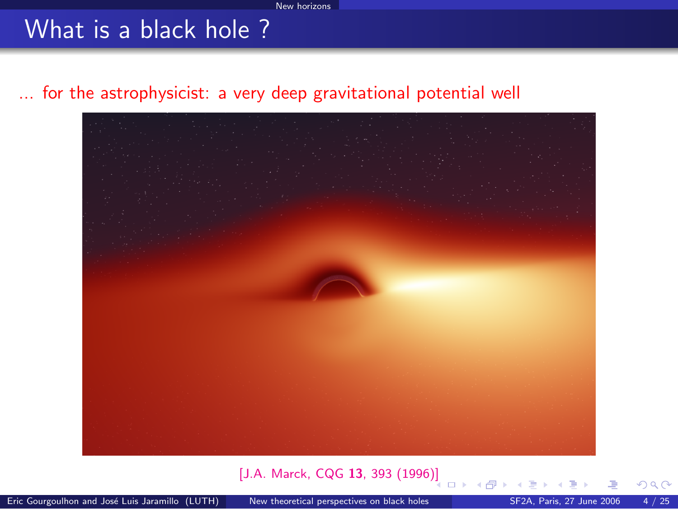### What is a black hole ?

### ... for the astrophysicist: a very deep gravitational potential well



#### [\[J.A. Marck, CQG](http://www.iop.org/EJ/abstract/0264-9381/13/3/007) 13, 393 (1996[\)\]](#page-2-0)

<span id="page-3-0"></span>റെ ഭ

□ → (母)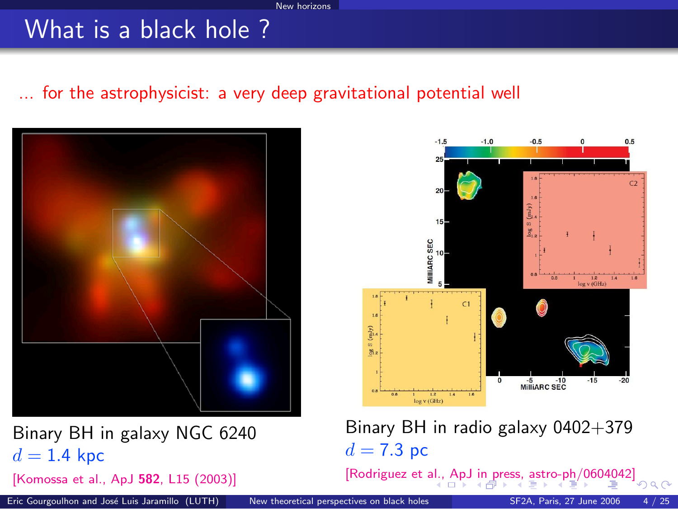### What is a black hole ?

### ... for the astrophysicist: a very deep gravitational potential well



Binary BH in galaxy NGC 6240  $d = 1.4$  kpc

[\[Komossa et al., ApJ](http://chandra.harvard.edu/press/02_releases/press_111902.html) 582, L15 (2003)]



Binary BH in radio galaxy 0402+379  $d = 7.3$  pc

<span id="page-4-0"></span>[\[Rodriguez et al., ApJ in press, astro-ph/0604042\]](http://arxiv.org/abs/astro-ph/0604042)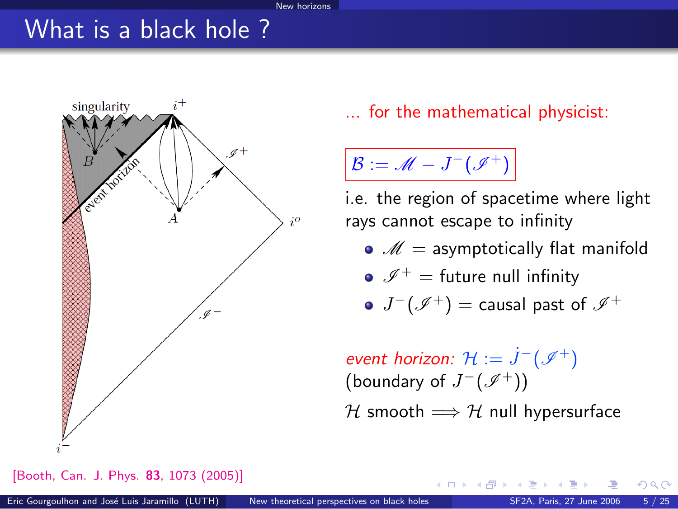#### New horizons

### What is a black hole ?



[\[Booth, Can. J. Phys.](http://fr.arxiv.org/abs/gr-qc/0508107) 83, 1073 (2005)]

... for the mathematical physicist:

 $\mathcal{B}:=\mathscr{M}-J^-(\mathscr{I}^+)$ 

i.e. the region of spacetime where light rays cannot escape to infinity

- $\bullet$   $\mathscr{M}$  = asymptotically flat manifold
- $\bullet$   $\mathscr{I}^+$  = future null infinity
- $J^-(\mathscr I^+)$   $=$  causal past of  $\mathscr I^+$

 $\textsf{event}$  horizon:  $\mathcal{H} := \dot{J}^-(\mathscr{I}^+)$ (boundary of  $J^-(\mathscr{I}^+)$ ) H smooth  $\Longrightarrow$  H null hypersurface

<span id="page-5-0"></span>**K ロ ト K 何 ト K ヨ ト**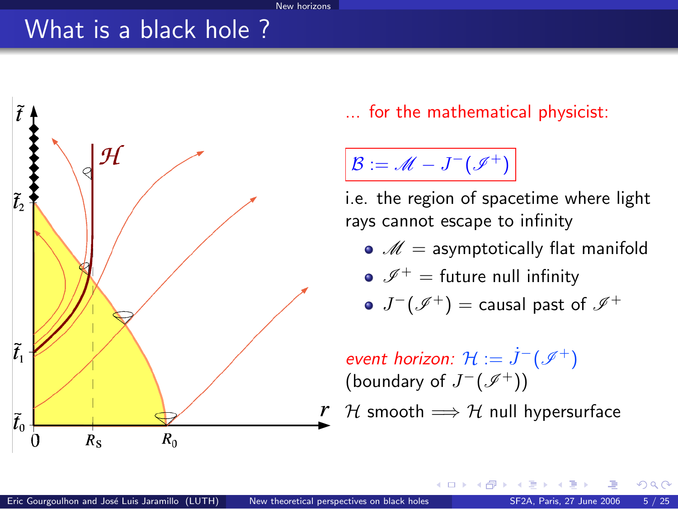### What is a black hole ?



... for the mathematical physicist:

 $\mathcal{B}:=\mathscr{M}-J^-(\mathscr{I}^+)$ 

i.e. the region of spacetime where light rays cannot escape to infinity

- $\bullet$   $\mathscr{M}$  = asymptotically flat manifold
- $\bullet$   $\mathscr{I}^+$  = future null infinity

$$
\mathsf{J}^-(\mathscr I^+) = \text{causal past of }\mathscr I^+
$$

 $\textsf{event}$  horizon:  $\mathcal{H} := \dot{J}^-(\mathscr{I}^+)$ (boundary of  $J^-(\mathscr{I}^+)$ )

H smooth  $\Longrightarrow$  H null hypersurface

**K ロ ト K 何 ト K 手**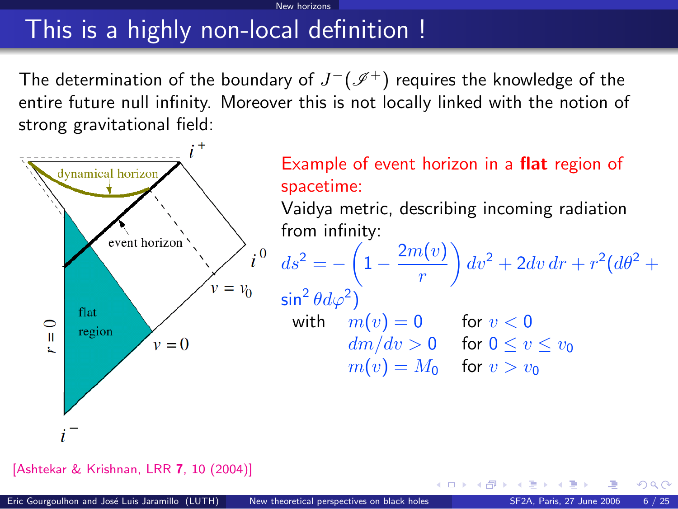# This is a highly non-local definition !

The determination of the boundary of  $J^-(\mathscr I^+)$  requires the knowledge of the entire future null infinity. Moreover this is not locally linked with the notion of strong gravitational field:

New horizons



[\[Ashtekar & Krishnan, LRR](http://www.livingreviews.org/lrr-2004-10) 7, 10 (2004)]

 $\Omega$ 

**K ロ ト K 何 ト K ヨ ト**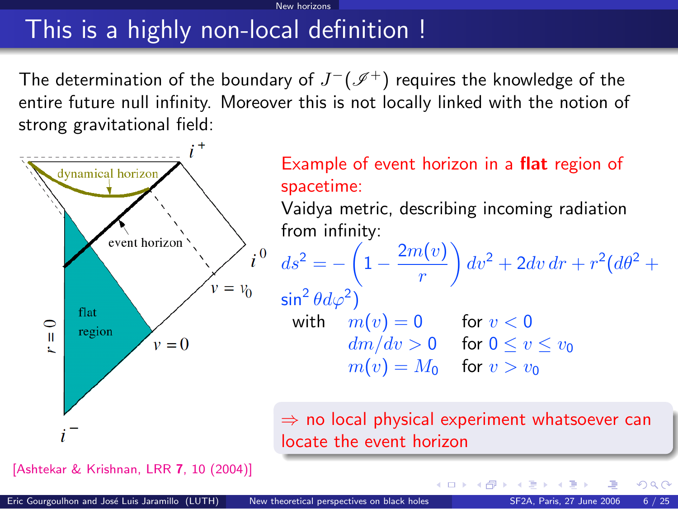# This is a highly non-local definition !

The determination of the boundary of  $J^-(\mathscr I^+)$  requires the knowledge of the entire future null infinity. Moreover this is not locally linked with the notion of strong gravitational field:

New horizons



[\[Ashtekar & Krishnan, LRR](http://www.livingreviews.org/lrr-2004-10) 7, 10 (2004)]

<span id="page-8-0"></span> $\Omega$ 

メロメ メタメ メミメス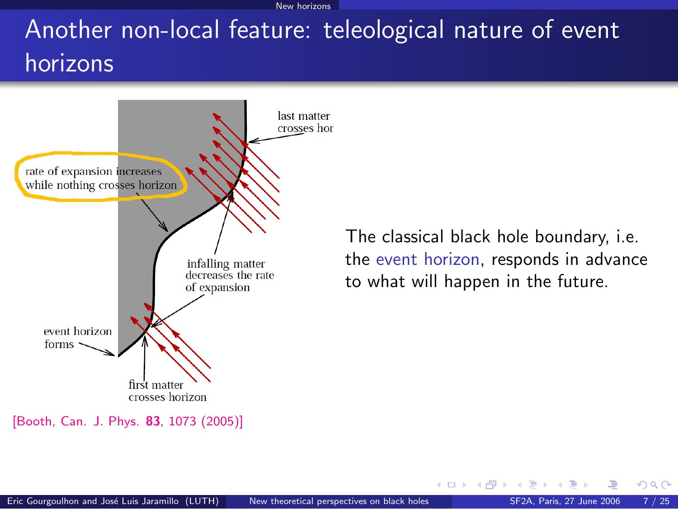#### New horizons

# Another non-local feature: teleological nature of event horizons



[\[Booth, Can. J. Phys.](http://fr.arxiv.org/abs/gr-qc/0508107) 83, 1073 (2005)]

The classical black hole boundary, i.e. the event horizon, responds in advance to what will happen in the future.

<span id="page-9-0"></span>**K ロ ト イ ト**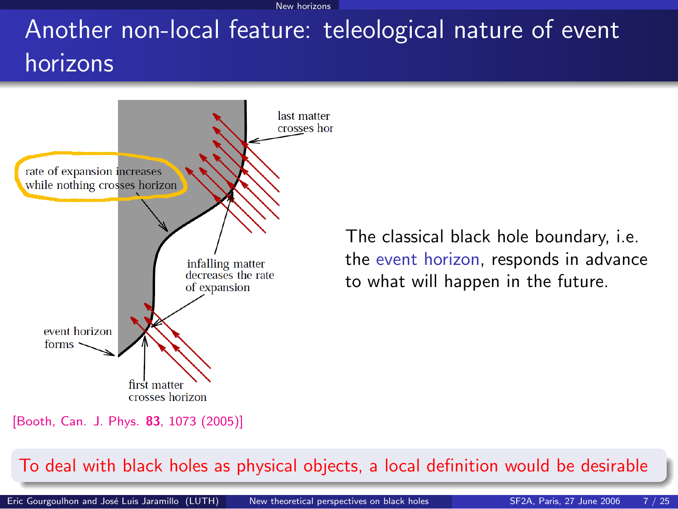New horizons

# Another non-local feature: teleological nature of event horizons



<span id="page-10-0"></span>The classical black hole boundary, i.e. the event horizon, responds in advance to what will happen in the future.

[\[Booth, Can. J. Phys.](http://fr.arxiv.org/abs/gr-qc/0508107) 83, 1073 (2005)]

#### To deal with black holes as physical objects, a local [defi](#page-9-0)[ni](#page-11-0)[ti](#page-8-0)[o](#page-9-0)[n](#page-10-0) [w](#page-11-0)[o](#page-1-0)[u](#page-2-0)[l](#page-19-0)[d](#page-20-0) [b](#page-1-0)[e](#page-2-0)[d](#page-20-0)[esi](#page-0-0)[rab](#page-39-0)le

Eric Gourgoulhon and José Luis Jaramillo (LUTH) [New theoretical perspectives on black holes](#page-0-0) SF2A, Paris, 27 June 2006 7 / 25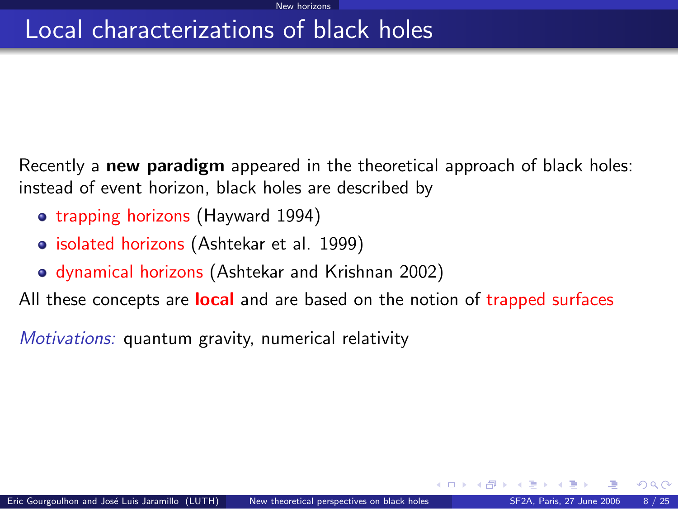### Local characterizations of black holes

Recently a new paradigm appeared in the theoretical approach of black holes: instead of event horizon, black holes are described by

- trapping horizons (Hayward 1994)
- isolated horizons (Ashtekar et al. 1999)
- dynamical horizons (Ashtekar and Krishnan 2002)

All these concepts are **local** and are based on the notion of trapped surfaces

Motivations: quantum gravity, numerical relativity

<span id="page-11-0"></span> $\Omega$ 

**K ロ ▶ | K 伺 ▶ | K ヨ ▶**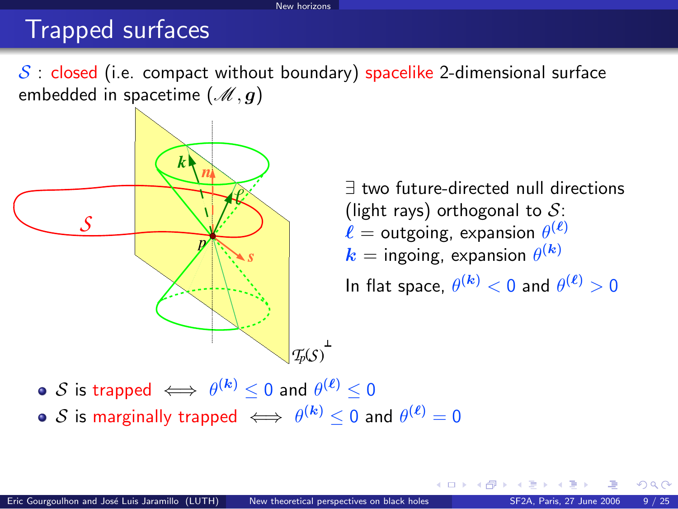#### New horizons

### Trapped surfaces

 $S$ : closed (i.e. compact without boundary) spacelike 2-dimensional surface embedded in spacetime  $(\mathcal{M}, g)$ 



∃ two future-directed null directions (light rays) orthogonal to  $S$ :  $\ell =$  outgoing, expansion  $\theta^{(\ell)}$  $\bm{k} =$  ingoing, expansion  $\theta^{(\bm{k})}$ In flat space,  $\theta^{(\bm{k})} < 0$  and  $\theta^{(\bm{\ell})} > 0$ 

**4 ロ ト 4 何 ト 4** 

 $\mathcal S$  is trapped  $\iff \theta^{(\bm{k})}\leq 0$  and  $\theta^{(\bm{\ell})}\leq 0$  $\mathcal S$  is marginally trapped  $\iff \theta^{(\bm k)}\leq 0$  and  $\theta^{(\bm \ell)}=0$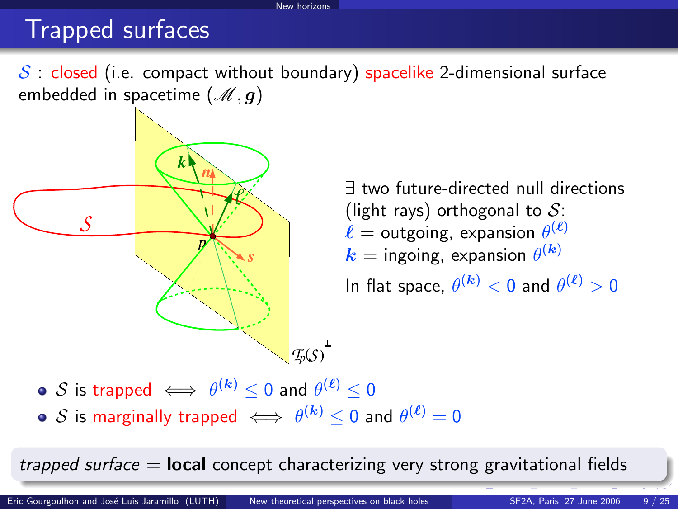#### New horizons

### Trapped surfaces

 $S$ : closed (i.e. compact without boundary) spacelike 2-dimensional surface embedded in spacetime  $(\mathcal{M}, g)$ 



∃ two future-directed null directions (light rays) orthogonal to  $S$ :  $\ell =$  outgoing, expansion  $\theta^{(\ell)}$  $\bm{k} =$  ingoing, expansion  $\theta^{(\bm{k})}$ In flat space,  $\theta^{(\bm{k})} < 0$  and  $\theta^{(\bm{\ell})} > 0$ 

 $\mathcal S$  is trapped  $\iff \theta^{(\bm{k})}\leq 0$  and  $\theta^{(\bm{\ell})}\leq 0$  $\mathcal S$  is marginally trapped  $\iff \theta^{(\bm k)}\leq 0$  and  $\theta^{(\bm \ell)}=0$ 

trapped surface  $=$  **local** concept characterizing very strong gravitational fields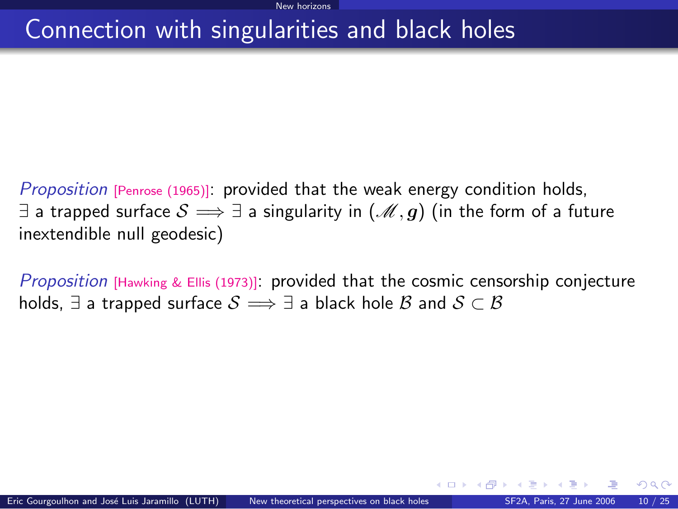## Connection with singularities and black holes

Proposition [\[Penrose \(1965\)\]](#page-0-1): provided that the weak energy condition holds, ∃ a trapped surface  $S \implies \exists$  a singularity in  $(\mathcal{M}, g)$  (in the form of a future inextendible null geodesic)

<span id="page-14-1"></span>*Proposition* [\[Hawking & Ellis \(1973\)\]](#page-0-1): provided that the cosmic censorship conjecture holds,  $\exists$  a trapped surface  $\mathcal{S} \Longrightarrow \exists$  a black hole  $\mathcal{B}$  and  $\mathcal{S} \subset \mathcal{B}$ 

<span id="page-14-0"></span> $\Omega$ 

**K ロ ▶ K 何 ▶ K 手**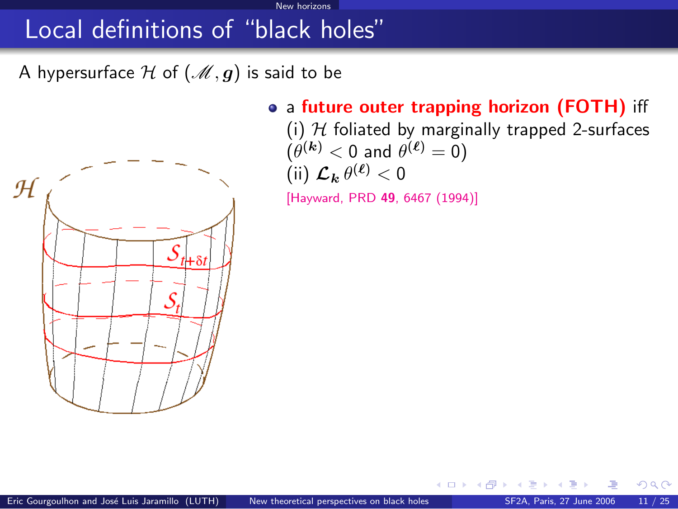New horizons

A hypersurface H of  $(\mathcal{M}, g)$  is said to be



• a future outer trapping horizon (FOTH) iff

<span id="page-15-0"></span>そロト

(i)  $H$  foliated by marginally trapped 2-surfaces  $(\theta^{(\bm{k})} < 0$  and  $\theta^{(\bm{\ell})} = 0)$ (ii)  $\mathcal{L}_{\mathbf{k}} \theta^{(\ell)} < 0$ 

[\[Hayward, PRD](http://link.aps.org/abstract/PRD/v49/p6467) 49, 6467 (1994)]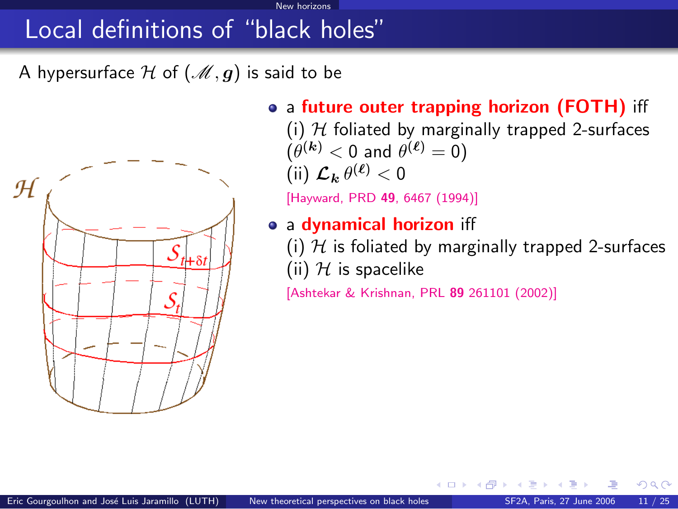New horizons

A hypersurface H of  $(\mathcal{M}, g)$  is said to be



• a future outer trapping horizon (FOTH) iff

(i)  $H$  foliated by marginally trapped 2-surfaces  $(\theta^{(\bm{k})} < 0$  and  $\theta^{(\bm{\ell})} = 0)$ (ii)  $\mathcal{L}_{\mathbf{k}} \theta^{(\ell)} < 0$ 

[\[Hayward, PRD](http://link.aps.org/abstract/PRD/v49/p6467) 49, 6467 (1994)]

• a dynamical horizon iff

(i)  $H$  is foliated by marginally trapped 2-surfaces (ii)  $H$  is spacelike

[\[Ashtekar & Krishnan, PRL](http://link.aps.org/abstract/PRL/v89/e261101) 89 261101 (2002)]

そロト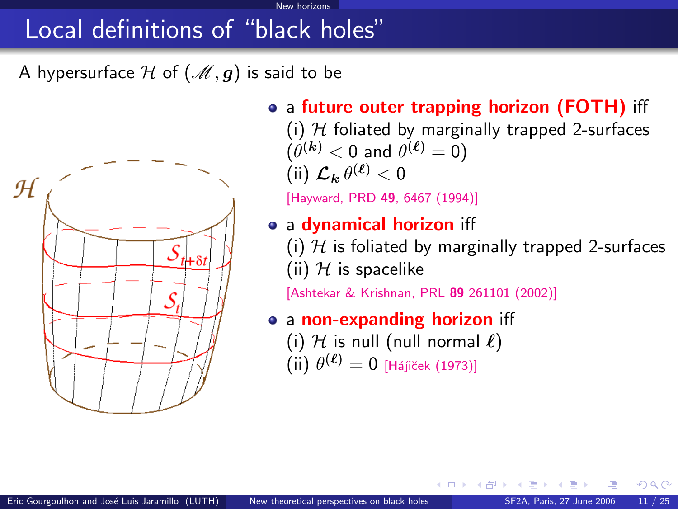New horizons

A hypersurface H of  $(\mathcal{M}, g)$  is said to be



• a future outer trapping horizon (FOTH) iff

(i)  $H$  foliated by marginally trapped 2-surfaces  $(\theta^{(\bm{k})} < 0$  and  $\theta^{(\bm{\ell})} = 0)$ (ii)  $\mathcal{L}_{\mathbf{k}} \theta^{(\ell)} < 0$ 

[\[Hayward, PRD](http://link.aps.org/abstract/PRD/v49/p6467) 49, 6467 (1994)]

- a dynamical horizon iff
	- (i)  $H$  is foliated by marginally trapped 2-surfaces (ii)  $H$  is spacelike

[\[Ashtekar & Krishnan, PRL](http://link.aps.org/abstract/PRL/v89/e261101) 89 261101 (2002)]

<span id="page-17-0"></span>4 D F

- a non-expanding horizon iff
	- (i) H is null (null normal  $\ell$ )  $(iii) \theta^{(\ell)} = 0$  [Hájiček (1973)]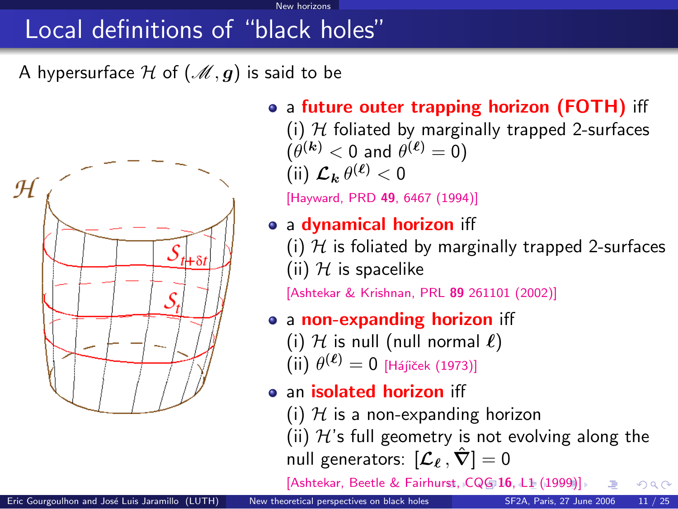New horizon

A hypersurface H of  $(\mathcal{M}, g)$  is said to be



• a future outer trapping horizon (FOTH) iff

(i)  $H$  foliated by marginally trapped 2-surfaces  $(\theta^{(\bm{k})} < 0$  and  $\theta^{(\bm{\ell})} = 0)$ (ii)  $\mathcal{L}_{\mathbf{k}} \theta^{(\ell)} < 0$ 

[\[Hayward, PRD](http://link.aps.org/abstract/PRD/v49/p6467) 49, 6467 (1994)]

### • a dynamical horizon iff

(i)  $H$  is foliated by marginally trapped 2-surfaces (ii)  $H$  is spacelike

[\[Ashtekar & Krishnan, PRL](http://link.aps.org/abstract/PRL/v89/e261101) 89 261101 (2002)]

### • a non-expanding horizon iff

- (i)  $H$  is null (null normal  $\ell$ )
- $(iii) \theta^{(\ell)} = 0$  [Hájiček (1973)]
- an isolated horizon iff
	- (i)  $H$  is a non-expanding horizon

(ii)  $H$ 's full geometry is not evolving along the null generators:  $[\mathcal{L}_\ell, \hat{\nabla}] = 0$ 

<span id="page-18-0"></span>[\[Ashtekar, Beetle & Fairh](http://stacks.iop.org/0264-9381/16/L1)[ur](#page-17-0)[st,](http://stacks.iop.org/0264-9381/16/L1)[C](http://stacks.iop.org/0264-9381/16/L1)[Q](#page-14-0)[G](#page-15-0) [16](#page-19-0)[,](#page-1-0) [L1](#page-2-0)[\(1](#page-20-0)[99](#page-1-0)[9](#page-2-0)[\)\]](#page-19-0)  $\Omega$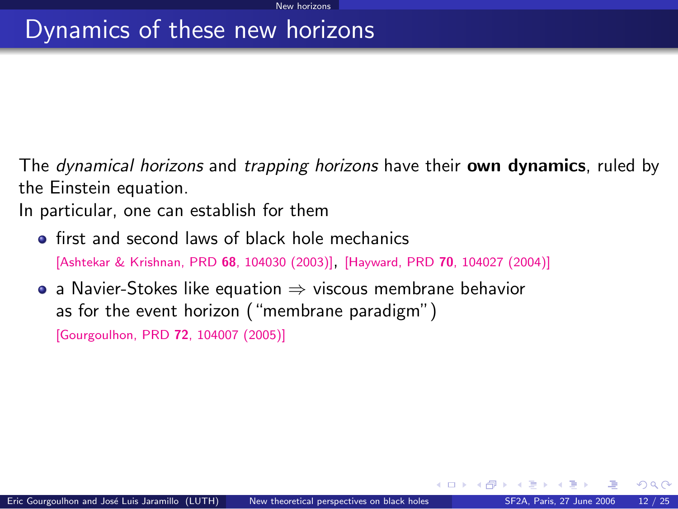### Dynamics of these new horizons

The *dynamical horizons* and *trapping horizons* have their **own dynamics**, ruled by the Einstein equation.

In particular, one can establish for them

- **o** first and second laws of black hole mechanics [\[Ashtekar & Krishnan, PRD](http://link.aps.org/abstract/PRD/v68/e104030) <sup>68</sup>, 104030 (2003)], [Hayward, PRD <sup>70</sup>[, 104027 \(2004\)\]](http://link.aps.org/abstract/PRD/v70/e104027)
- a Navier-Stokes like equation  $\Rightarrow$  viscous membrane behavior as for the event horizon ("membrane paradigm") [\[Gourgoulhon, PRD](http://link.aps.org/abstract/PRD/v72/e104007) 72, 104007 (2005)]

<span id="page-19-0"></span> $\Omega$ 

**K ロ ▶ K 何 ▶ K 手**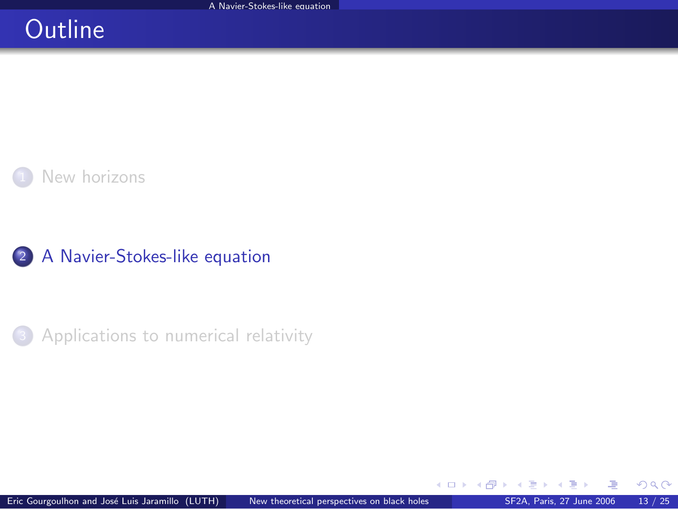## **Outline**



2 [A Navier-Stokes-like equation](#page-20-0)

**3** [Applications to numerical relativity](#page-32-0)

 $\sim$ 

**K ロ ▶ K 御 ▶ K 舌** 

<span id="page-20-0"></span> $299$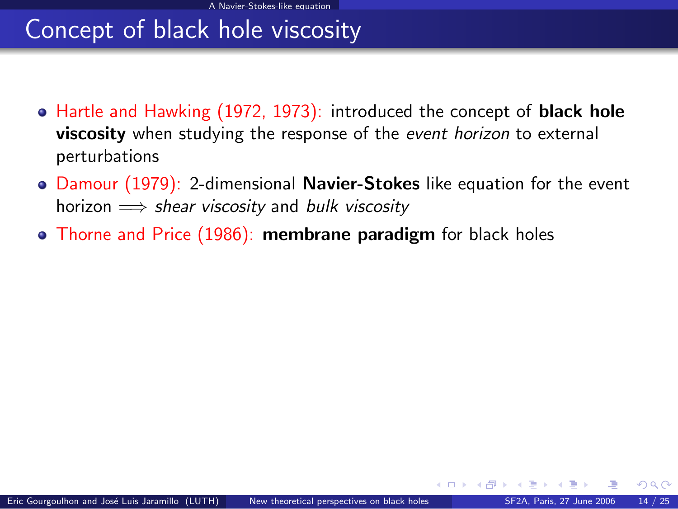## Concept of black hole viscosity

- Hartle and Hawking (1972, 1973): introduced the concept of **black hole** viscosity when studying the response of the event horizon to external perturbations
- Damour (1979): 2-dimensional **Navier-Stokes** like equation for the event horizon  $\implies$  shear viscosity and bulk viscosity
- Thorne and Price (1986): membrane paradigm for black holes

 $\Omega$ 

**K ロ ト K 何 ト K ヨ ト**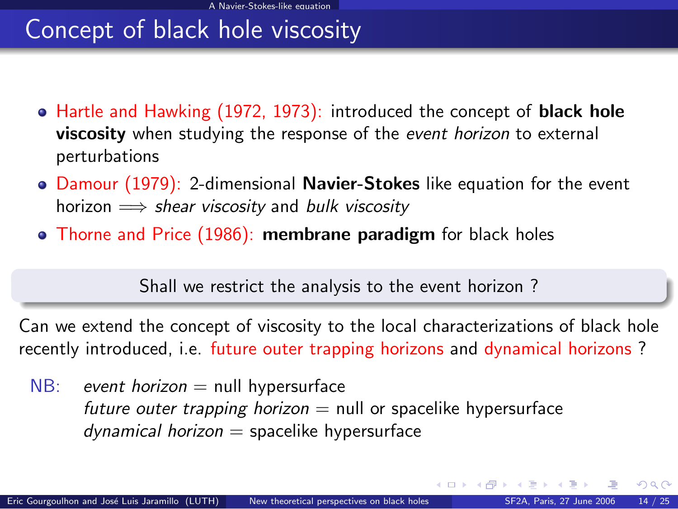## Concept of black hole viscosity

- Hartle and Hawking (1972, 1973): introduced the concept of **black hole** viscosity when studying the response of the event horizon to external perturbations
- Damour (1979): 2-dimensional Navier-Stokes like equation for the event horizon  $\implies$  shear viscosity and bulk viscosity
- Thorne and Price (1986): membrane paradigm for black holes

Shall we restrict the analysis to the event horizon ?

Can we extend the concept of viscosity to the local characterizations of black hole recently introduced, i.e. future outer trapping horizons and dynamical horizons ?

 $NB:$  event horizon  $=$  null hypersurface future outer trapping horizon  $=$  null or spacelike hypersurface  $d$ ynamical horizon = spacelike hypersurface

 $QQ$ 

 $4$  O  $\rightarrow$   $4$   $\overline{m}$   $\rightarrow$   $4$   $\overline{m}$   $\rightarrow$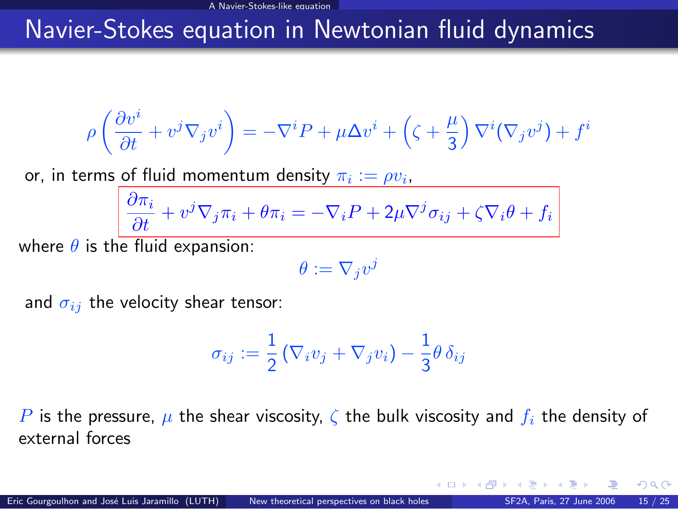### <span id="page-23-0"></span>Navier-Stokes equation in Newtonian fluid dynamics

$$
\rho\left(\frac{\partial v^i}{\partial t} + v^j \nabla_j v^i\right) = -\nabla^i P + \mu \Delta v^i + \left(\zeta + \frac{\mu}{3}\right) \nabla^i (\nabla_j v^j) + f^i
$$

or, in terms of fluid momentum density  $\pi_i:=\rho v_i$ ,

$$
\frac{\partial \pi_i}{\partial t} + v^j \nabla_j \pi_i + \theta \pi_i = -\nabla_i P + 2\mu \nabla^j \sigma_{ij} + \zeta \nabla_i \theta + f_i
$$

where  $\theta$  is the fluid expansion:

$$
\theta:=\nabla_j v^j
$$

and  $\sigma_{ij}$  the velocity shear tensor:

$$
\sigma_{ij} := \frac{1}{2} \left( \nabla_i v_j + \nabla_j v_i \right) - \frac{1}{3} \theta \, \delta_{ij}
$$

P is the pressure,  $\mu$  the shear viscosity,  $\zeta$  the bulk viscosity and  $f_i$  the density of external forces

4 **D** F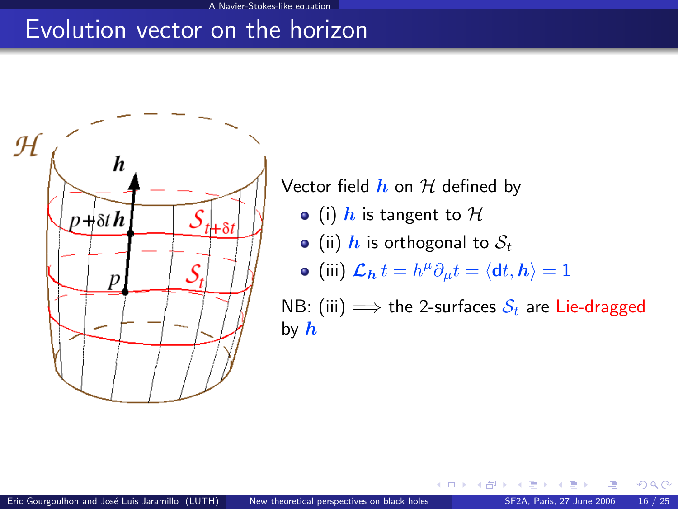### Evolution vector on the horizon



Vector field  $h$  on  $H$  defined by

- (i)  $h$  is tangent to  $H$
- (ii) h is orthogonal to  $S_t$

• (iii) 
$$
\mathcal{L}_{h} t = h^{\mu} \partial_{\mu} t = \langle \mathbf{d} t, h \rangle = 1
$$

NB: (iii)  $\implies$  the 2-surfaces  $S_t$  are Lie-dragged by  $h$ 

そロト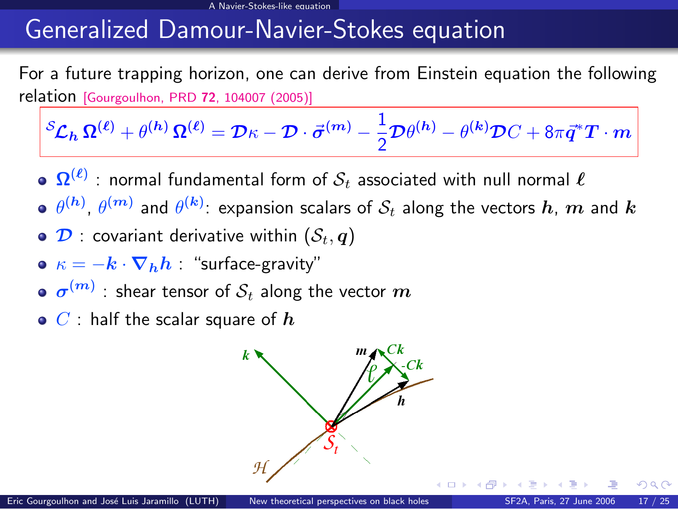#### A Navier-Stokes-like equation

### Generalized Damour-Navier-Stokes equation

For a future trapping horizon, one can derive from Einstein equation the following relation [\[Gourgoulhon, PRD](http://link.aps.org/abstract/PRD/v72/e104007) <sup>72</sup>, 104007 (2005)]

$$
{}^S\mathcal{L}_h\,\mathbf{\Omega}^{(\ell)} + \theta^{(h)}\,\mathbf{\Omega}^{(\ell)} = \mathcal{D}\kappa - \mathcal{D}\cdot\vec{\sigma}^{(m)} - \frac{1}{2}\mathcal{D}\theta^{(h)} - \theta^{(k)}\mathcal{D}C + 8\pi\vec{q}^*T\cdot m
$$

- $\mathbf{\Omega}^{(\ell)}$  : normal fundamental form of  $\mathcal{S}_t$  associated with null normal  $\ell$
- $\theta^{(\bm{h})}$ ,  $\theta^{(\bm{m})}$  and  $\theta^{(\bm{k})}$ : expansion scalars of  $\mathcal{S}_t$  along the vectors  $\bm{h},\,\bm{m}$  and  $\bm{k}$
- $\bullet$   $\mathcal{D}$  : covariant derivative within  $(\mathcal{S}_t, \mathbf{q})$
- $\kappa = -k \cdot \nabla_h h$  : "surface-gravity"
- $\sigma^{(m)}$  : shear tensor of  $\mathcal{S}_t$  along the vector  $m$
- $\bullet$  C : half the scalar square of  $\bm{h}$

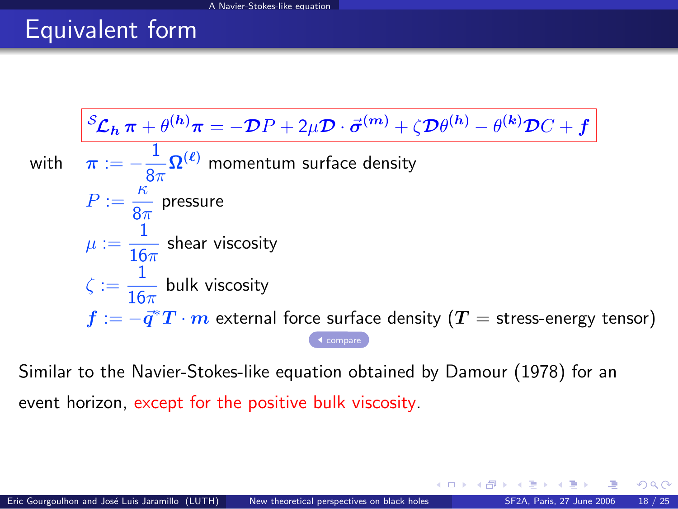# Equivalent form

$$
\frac{\mathcal{S}_{\mathcal{L}_h \pi} + \theta^{(h)} \pi = -\mathcal{D}P + 2\mu \mathcal{D} \cdot \vec{\sigma}^{(m)} + \zeta \mathcal{D}\theta^{(h)} - \theta^{(k)} \mathcal{D}C + f}{\pi := -\frac{1}{8\pi} \Omega^{(\ell)}
$$
 momentum surface density  
\n
$$
P := \frac{\kappa}{8\pi}
$$
 pressure  
\n
$$
\mu := \frac{1}{16\pi}
$$
 shear viscosity  
\n
$$
\zeta := \frac{1}{16\pi}
$$
 bulk viscosity  
\n
$$
f := -\vec{q}^*T \cdot m
$$
 external force surface density ( $T$  = stress-energy tensor)

Similar to the Navier-Stokes-like equation obtained by Damour (1978) for an event horizon, except for the positive bulk viscosity.

 $\Omega$ 

**K ロ ト K 伊 ト K**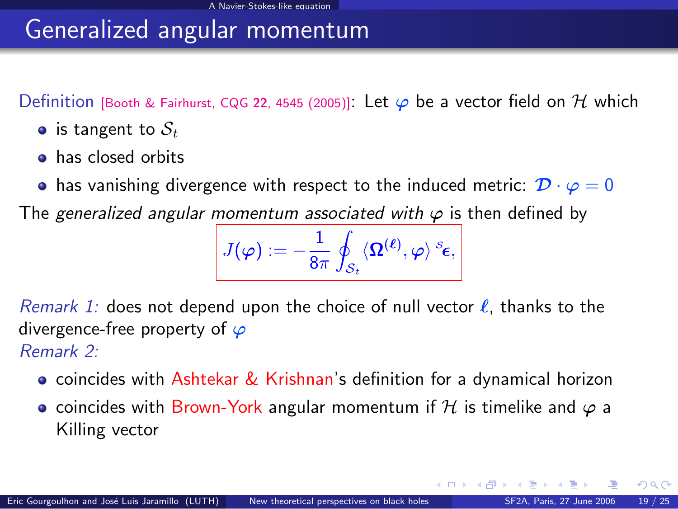### Generalized angular momentum

Definition [\[Booth & Fairhurst, CQG](http://arxiv.org/abs/gr-qc/0505049) 22, 4545 (2005)]: Let  $\varphi$  be a vector field on H which

- is tangent to  $S_t$
- **o** has closed orbits
- has vanishing divergence with respect to the induced metric:  $\mathcal{D} \cdot \varphi = 0$

The generalized angular momentum associated with  $\varphi$  is then defined by

$$
J(\varphi):=-\frac{1}{8\pi}\oint_{\mathcal{S}_t}\langle \pmb{\Omega}^{(\pmb{\ell})},\varphi\rangle^{\,\mathcal{S}_{\pmb{\epsilon}}},
$$

Remark 1: does not depend upon the choice of null vector  $\ell$ , thanks to the divergence-free property of  $\varphi$ Remark 2:

- **•** coincides with Ashtekar & Krishnan's definition for a dynamical horizon
- coincides with Brown-York angular momentum if H is timelike and  $\varphi$  a Killing vector

 $\Omega$ 

イロト イ押ト イヨト イ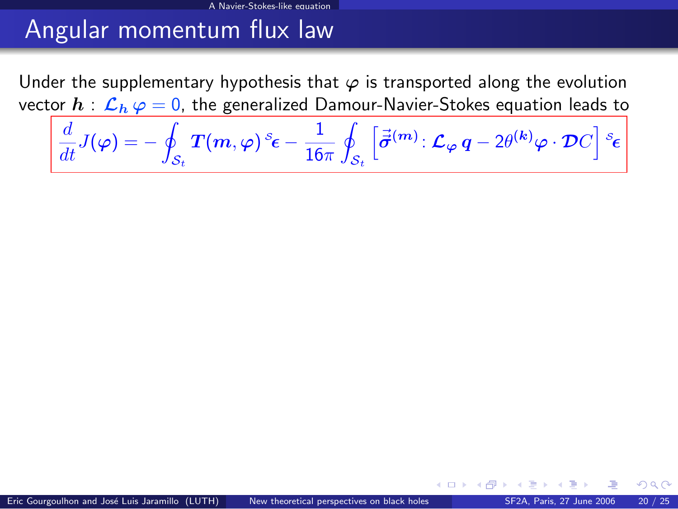Under the supplementary hypothesis that  $\varphi$  is transported along the evolution vector  $h : \mathcal{L}_h \varphi = 0$ , the generalized Damour-Navier-Stokes equation leads to

$$
\frac{d}{dt}J(\varphi)=-\oint_{\mathcal{S}_t}T(m,\varphi)\,^s\epsilon-\frac{1}{16\pi}\oint_{\mathcal{S}_t}\left[\vec{\vec{\sigma}}^{(m)}\colon\mathcal{L}_{\varphi}\,q-2\theta^{(k)}\varphi\cdot\mathcal{D}C\right]\,^s\epsilon
$$

 $\Omega$ 

**K ロ ト K 何 ト K 日**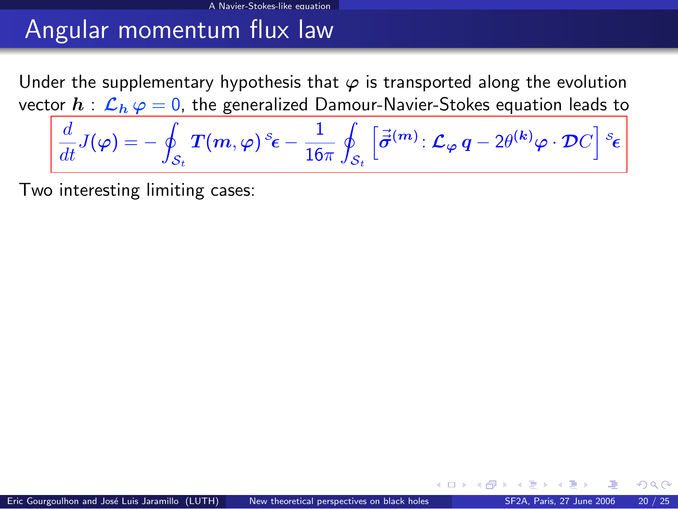Under the supplementary hypothesis that  $\varphi$  is transported along the evolution vector  $h : \mathcal{L}_h \varphi = 0$ , the generalized Damour-Navier-Stokes equation leads to

A Navier-Stokes-like equation

$$
\frac{d}{dt}J(\varphi)=-\oint_{\mathcal{S}_t}T(m,\varphi)\,^s\epsilon-\frac{1}{16\pi}\oint_{\mathcal{S}_t}\left[\vec{\vec{\sigma}}^{(m)}\colon\mathcal{L}_{\varphi}\,q-2\theta^{(k)}\varphi\cdot\mathcal{D}C\right]s_{\boldsymbol{\epsilon}}
$$

Two interesting limiting cases:

 $\Omega$ 

**K ロ ▶ K 何 ▶ K 手**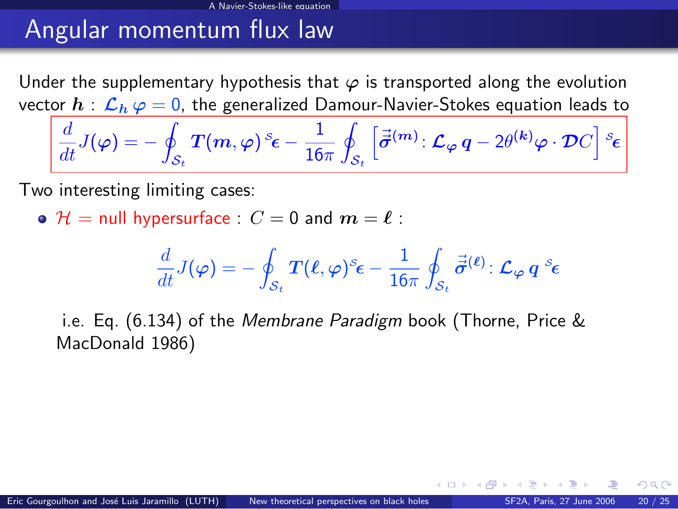Under the supplementary hypothesis that  $\varphi$  is transported along the evolution vector  $h : \mathcal{L}_h \varphi = 0$ , the generalized Damour-Navier-Stokes equation leads to

A Navier-Stokes-like equation

$$
\frac{d}{dt}J(\varphi)=-\oint_{\mathcal{S}_t}T(m,\varphi)\,^s\epsilon-\frac{1}{16\pi}\oint_{\mathcal{S}_t}\left[\vec{\vec{\sigma}}^{(m)}\colon\mathcal{L}_{\varphi}\,q-2\theta^{(k)}\varphi\cdot\mathcal{D}C\right]\,^s\epsilon
$$

Two interesting limiting cases:

 $\bullet$   $\mathcal{H}$  = null hypersurface :  $C = 0$  and  $m = \ell$  :

$$
\frac{d}{dt}J(\varphi)=-\oint_{\mathcal{S}_t}T(\ell,\varphi)^s\epsilon-\frac{1}{16\pi}\oint_{\mathcal{S}_t}\vec{\bar{\sigma}}^{(\ell)}\colon\mathcal{L}_{\varphi}\,q^{\circ}\epsilon
$$

i.e. Eq. (6.134) of the Membrane Paradigm book (Thorne, Price & MacDonald 1986)

 $\Omega$ 

**K ロ ト K 何 ト K ヨ ト**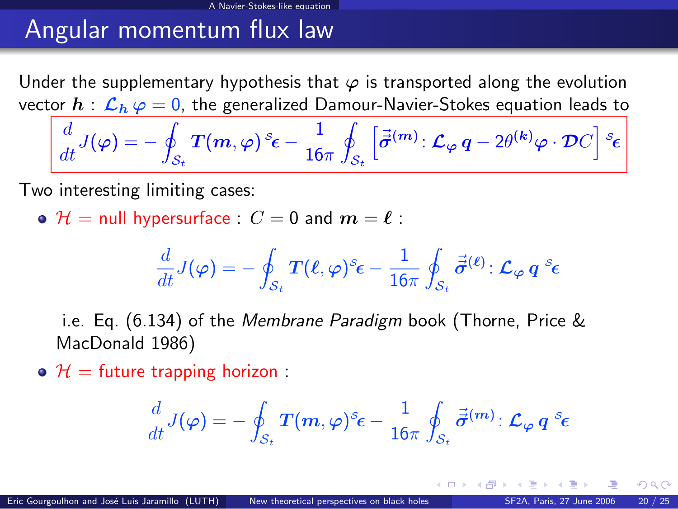Under the supplementary hypothesis that  $\varphi$  is transported along the evolution vector  $h : \mathcal{L}_h \varphi = 0$ , the generalized Damour-Navier-Stokes equation leads to

A Navier-Stokes-like equation

$$
\frac{d}{dt}J(\varphi)=-\oint_{\mathcal{S}_t}T(m,\varphi)\,^s\epsilon-\frac{1}{16\pi}\oint_{\mathcal{S}_t}\left[\vec{\vec{\sigma}}^{(m)}\colon\mathcal{L}_{\varphi}\,q-2\theta^{(k)}\varphi\cdot\mathcal{D}C\right]\,^s\epsilon
$$

Two interesting limiting cases:

 $\bullet$   $\mathcal{H}$  = null hypersurface :  $C = 0$  and  $m = \ell$  :

$$
\frac{d}{dt}J(\varphi)=-\oint_{\mathcal{S}_t}T(\ell,\varphi)^s\epsilon-\frac{1}{16\pi}\oint_{\mathcal{S}_t}\vec{\bar{\sigma}}^{(\ell)}\colon\mathcal{L}_{\varphi}\,q^{\mathcal{S}_{\mathbf{C}}}
$$

i.e. Eq. (6.134) of the Membrane Paradigm book (Thorne, Price & MacDonald 1986)

 $\Theta$   $\mathcal{H}$  = future trapping horizon :

$$
\frac{d}{dt}J(\varphi)=-\oint_{\mathcal{S}_t}T(m,\varphi)^\mathcal{\mathcal{S}}\epsilon-\frac{1}{16\pi}\oint_{\mathcal{S}_t}\vec{\vec{\sigma}}^{(m)}\colon\mathcal{L}_\varphi\,q^{\mathcal{S}}\epsilon
$$

 $\Omega$ 

**K ロ ト K 何 ト K ヨ ト**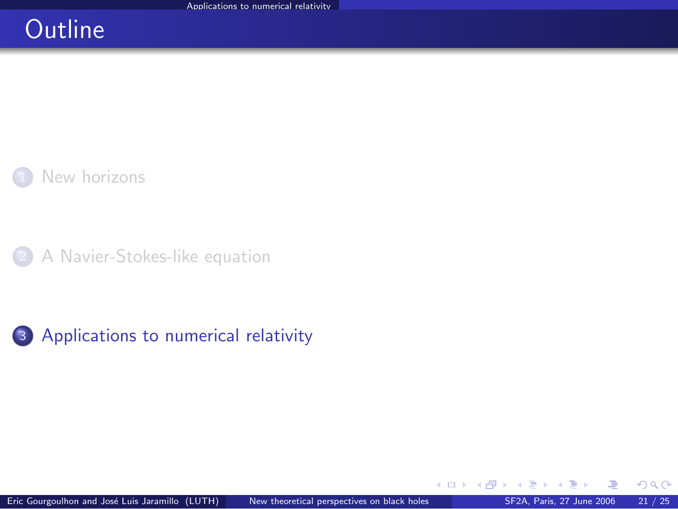### **Outline**



[A Navier-Stokes-like equation](#page-20-0)



 $\sim$ 

**K ロ ▶ K 御 ▶ K 舌** 

<span id="page-32-0"></span> $299$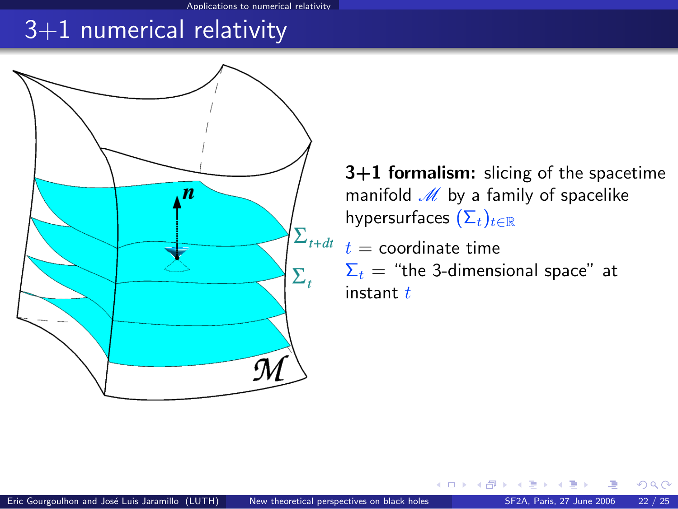Applications to numerical relativity

### 3+1 numerical relativity



3+1 formalism: slicing of the spacetime manifold  $M$  by a family of spacelike hypersurfaces  $(\Sigma_t)_{t\in\mathbb{R}}$ 

 $\sum_{t+dt} t =$  coordinate time  $\Sigma_t$  = "the 3-dimensional space" at instant  $t$ 

**K ロ ▶ K 何 ▶ K**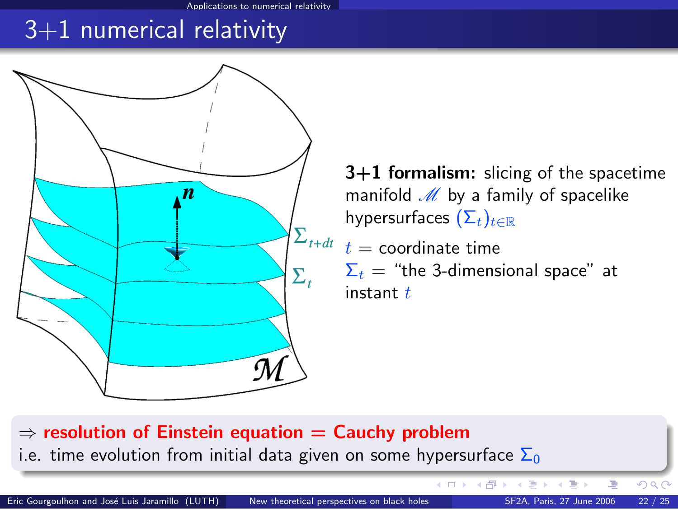## 3+1 numerical relativity



3+1 formalism: slicing of the spacetime manifold  $M$  by a family of spacelike hypersurfaces  $(\Sigma_t)_{t\in\mathbb{R}}$ 

 $\sum_{t+dt-t} =$  coordinate time  $\Sigma_t$  = "the 3-dimensional space" at instant  $t$ 

**K ロ ▶ K 御 ▶ K 舌** 

 $\Rightarrow$  resolution of Einstein equation  $=$  Cauchy problem i.e. time evolution from initial data given on some hypersurface  $\Sigma_0$ 

Eric Gourgoulhon and José Luis Jaramillo (LUTH) [New theoretical perspectives on black holes](#page-0-0) SF2A, Paris, 27 June 2006 22 / 25

 $290$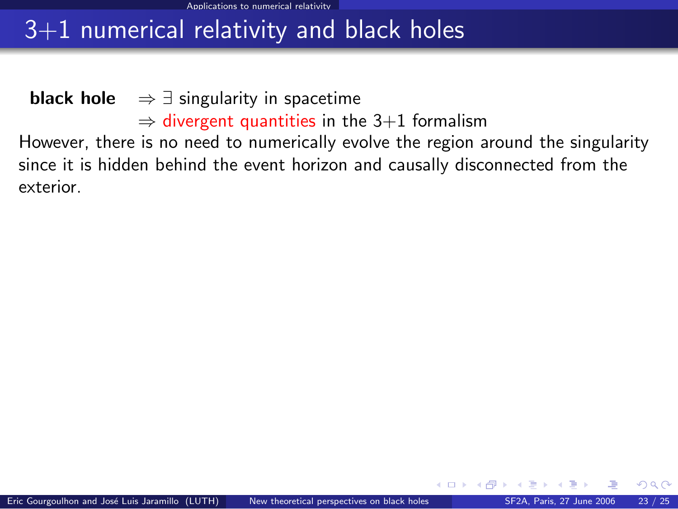## 3+1 numerical relativity and black holes

**black hole**  $\Rightarrow \exists$  singularity in spacetime  $\Rightarrow$  divergent quantities in the 3+1 formalism However, there is no need to numerically evolve the region around the singularity since it is hidden behind the event horizon and causally disconnected from the exterior.

 $\Omega$ 

**K ロ ▶ K 何 ▶ K 手**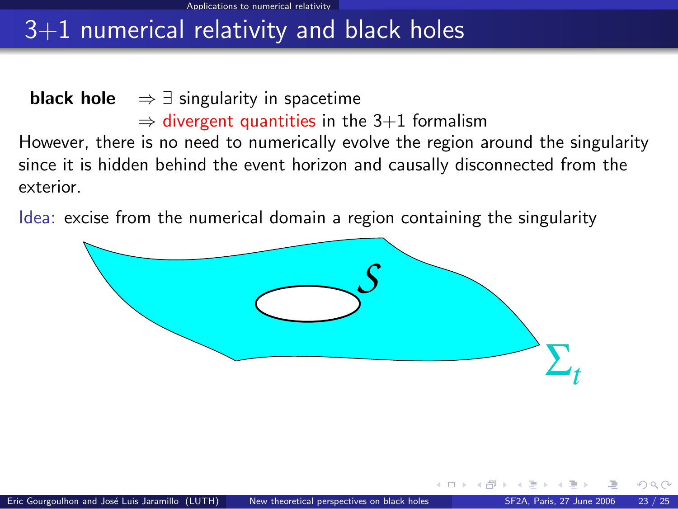## 3+1 numerical relativity and black holes

**black hole**  $\Rightarrow \exists$  singularity in spacetime  $\Rightarrow$  divergent quantities in the 3+1 formalism However, there is no need to numerically evolve the region around the singularity since it is hidden behind the event horizon and causally disconnected from the exterior.

Idea: excise from the numerical domain a region containing the singularity



4 0 8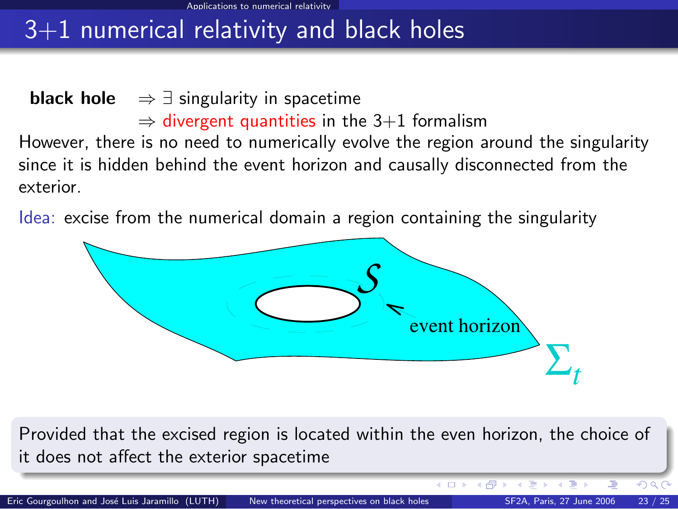## $3+1$  numerical relativity and black holes

**black hole**  $\Rightarrow \exists$  singularity in spacetime  $\Rightarrow$  divergent quantities in the 3+1 formalism However, there is no need to numerically evolve the region around the singularity since it is hidden behind the event horizon and causally disconnected from the exterior.

Idea: excise from the numerical domain a region containing the singularity



Provided that the excised region is located within the even horizon, the choice of it does not affect the exterior spacetime

Eric Gourgoulhon and José Luis Jaramillo (LUTH) [New theoretical perspectives on black holes](#page-0-0) SF2A, Paris, 27 June 2006 23 / 25

モロト 4 间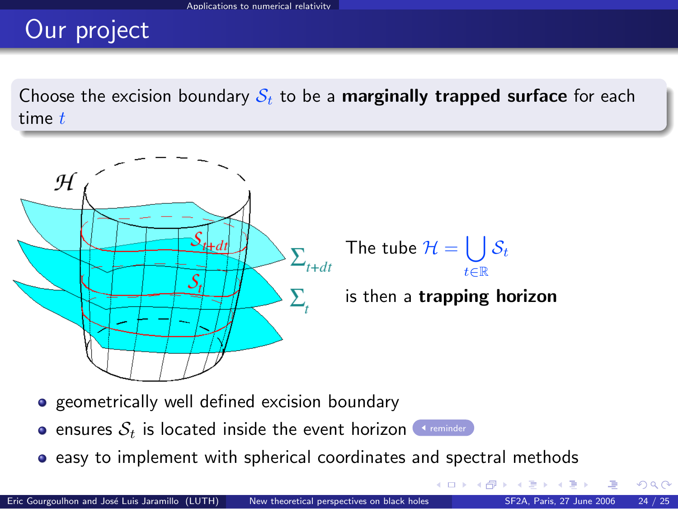# Our project

Choose the excision boundary  $S_t$  to be a **marginally trapped surface** for each time  $t$ 



The tube  $\mathcal{H}=\left(\begin{array}{c} \end{array}\right)$ t∈R  $\mathcal{S}_t$ 

is then a trapping horizon

 $\left\{ \begin{array}{ccc} 1 & 0 & 0 \\ 0 & 1 & 0 \end{array} \right\}$  ,  $\left\{ \begin{array}{ccc} 0 & 0 & 0 \\ 0 & 0 & 0 \end{array} \right\}$ 

- **•** geometrically well defined excision boundary
- **e** ensures  $S_t$  is located inside the event horizon [reminder](#page-14-1)
- **•** easy to implement with spherical coordinates and spectral methods